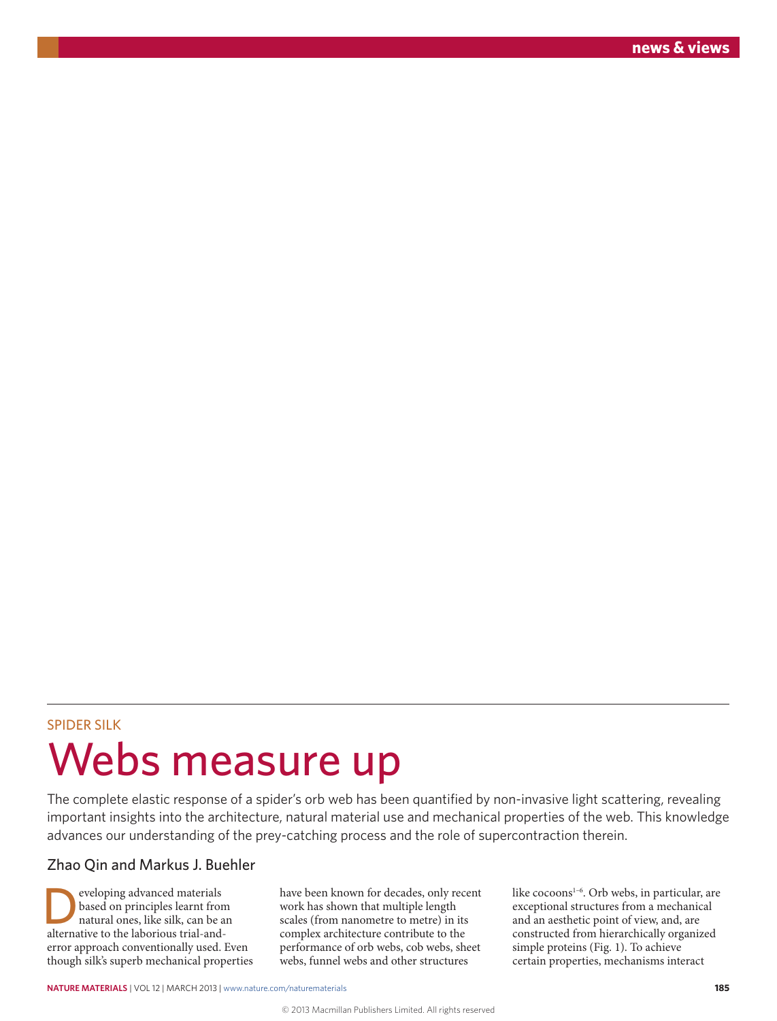## SPIDER SILK Webs measure up

The complete elastic response of a spider's orb web has been quantified by non-invasive light scattering, revealing important insights into the architecture, natural material use and mechanical properties of the web. This knowledge advances our understanding of the prey-catching process and the role of supercontraction therein.

## Zhao Qin and Markus J. Buehler

eveloping advanced materials<br>based on principles learnt from<br>attural ones, like silk, can be a<br>attenuative to the laborious trial and based on principles learnt from natural ones, like silk, can be an alternative to the laborious trial-anderror approach conventionally used. Even though silk's superb mechanical properties

have been known for decades, only recent work has shown that multiple length scales (from nanometre to metre) in its complex architecture contribute to the performance of orb webs, cob webs, sheet webs, funnel webs and other structures

like cocoons<sup>1-6</sup>. Orb webs, in particular, are exceptional structures from a mechanical and an aesthetic point of view, and, are constructed from hierarchically organized simple proteins (Fig. 1). To achieve certain properties, mechanisms interact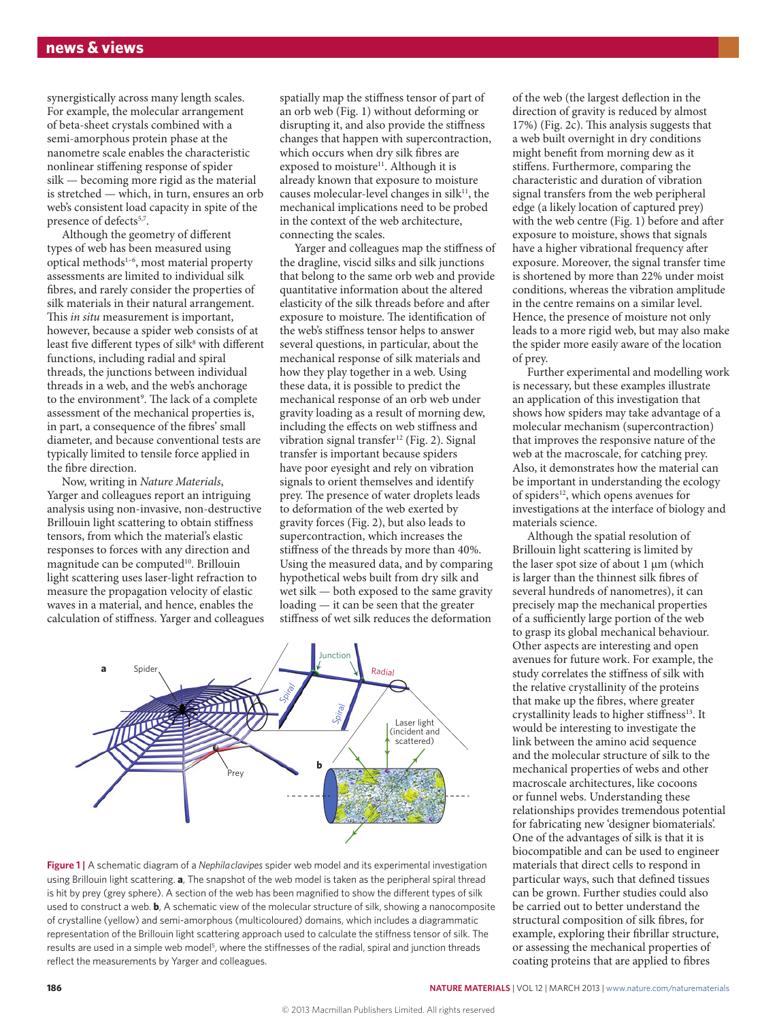synergistically across many length scales. For example, the molecular arrangement of beta-sheet crystals combined with a semi-amorphous protein phase at the nanometre scale enables the characteristic nonlinear stiffening response of spider silk — becoming more rigid as the material is stretched — which, in turn, ensures an orb web's consistent load capacity in spite of the presence of defects<sup>5,7</sup>.

Although the geometry of different types of web has been measured using optical methods1–6, most material property assessments are limited to individual silk fibres, and rarely consider the properties of silk materials in their natural arrangement. This *in situ* measurement is important, however, because a spider web consists of at least five different types of silk<sup>8</sup> with different functions, including radial and spiral threads, the junctions between individual threads in a web, and the web's anchorage to the environment<sup>9</sup>. The lack of a complete assessment of the mechanical properties is, in part, a consequence of the fibres' small diameter, and because conventional tests are typically limited to tensile force applied in the fibre direction.

Now, writing in *Nature Materials*, Yarger and colleagues report an intriguing analysis using non-invasive, non-destructive Brillouin light scattering to obtain stiffness tensors, from which the material's elastic responses to forces with any direction and magnitude can be computed<sup>10</sup>. Brillouin light scattering uses laser-light refraction to measure the propagation velocity of elastic waves in a material, and hence, enables the calculation of stiffness. Yarger and colleagues spatially map the stiffness tensor of part of an orb web (Fig. 1) without deforming or disrupting it, and also provide the stiffness changes that happen with supercontraction, which occurs when dry silk fibres are exposed to moisture<sup>11</sup>. Although it is already known that exposure to moisture causes molecular-level changes in silk $11$ , the mechanical implications need to be probed in the context of the web architecture, connecting the scales.

Yarger and colleagues map the stiffness of the dragline, viscid silks and silk junctions that belong to the same orb web and provide quantitative information about the altered elasticity of the silk threads before and after exposure to moisture. The identification of the web's stiffness tensor helps to answer several questions, in particular, about the mechanical response of silk materials and how they play together in a web. Using these data, it is possible to predict the mechanical response of an orb web under gravity loading as a result of morning dew, including the effects on web stiffness and vibration signal transfer<sup>12</sup> (Fig. 2). Signal transfer is important because spiders have poor eyesight and rely on vibration signals to orient themselves and identify prey. The presence of water droplets leads to deformation of the web exerted by gravity forces (Fig. 2), but also leads to supercontraction, which increases the stiffness of the threads by more than 40%. Using the measured data, and by comparing hypothetical webs built from dry silk and wet silk — both exposed to the same gravity loading — it can be seen that the greater stiffness of wet silk reduces the deformation



**Figure 1 |** A schematic diagram of a *Nephila clavipes* spider web model and its experimental investigation using Brillouin light scattering. **a**, The snapshot of the web model is taken as the peripheral spiral thread is hit by prey (grey sphere). A section of the web has been magnified to show the different types of silk used to construct a web. **b**, A schematic view of the molecular structure of silk, showing a nanocomposite of crystalline (yellow) and semi-amorphous (multicoloured) domains, which includes a diagrammatic representation of the Brillouin light scattering approach used to calculate the stiffness tensor of silk. The results are used in a simple web model<sup>5</sup>, where the stiffnesses of the radial, spiral and junction threads reflect the measurements by Yarger and colleagues.

of the web (the largest deflection in the direction of gravity is reduced by almost 17%) (Fig. 2c). This analysis suggests that a web built overnight in dry conditions might benefit from morning dew as it stiffens. Furthermore, comparing the characteristic and duration of vibration signal transfers from the web peripheral edge (a likely location of captured prey) with the web centre (Fig. 1) before and after exposure to moisture, shows that signals have a higher vibrational frequency after exposure. Moreover, the signal transfer time is shortened by more than 22% under moist conditions, whereas the vibration amplitude in the centre remains on a similar level. Hence, the presence of moisture not only leads to a more rigid web, but may also make the spider more easily aware of the location of prey.

Further experimental and modelling work is necessary, but these examples illustrate an application of this investigation that shows how spiders may take advantage of a molecular mechanism (supercontraction) that improves the responsive nature of the web at the macroscale, for catching prey. Also, it demonstrates how the material can be important in understanding the ecology of spiders<sup>12</sup>, which opens avenues for investigations at the interface of biology and materials science.

Although the spatial resolution of Brillouin light scattering is limited by the laser spot size of about 1 μm (which is larger than the thinnest silk fibres of several hundreds of nanometres), it can precisely map the mechanical properties of a sufficiently large portion of the web to grasp its global mechanical behaviour. Other aspects are interesting and open avenues for future work. For example, the study correlates the stiffness of silk with the relative crystallinity of the proteins that make up the fibres, where greater crystallinity leads to higher stiffness<sup>13</sup>. It would be interesting to investigate the link between the amino acid sequence and the molecular structure of silk to the mechanical properties of webs and other macroscale architectures, like cocoons or funnel webs. Understanding these relationships provides tremendous potential for fabricating new 'designer biomaterials'. One of the advantages of silk is that it is biocompatible and can be used to engineer materials that direct cells to respond in particular ways, such that defined tissues can be grown. Further studies could also be carried out to better understand the structural composition of silk fibres, for example, exploring their fibrillar structure, or assessing the mechanical properties of coating proteins that are applied to fibres